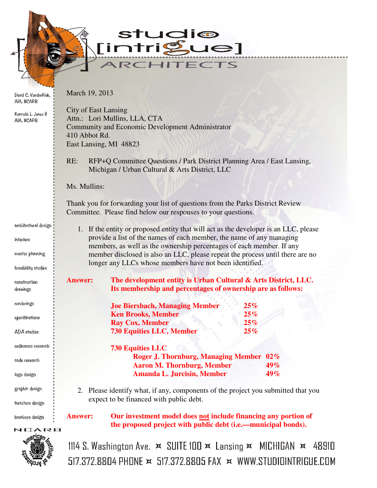udio<br>1gue] S  $\frac{1}{\pi}$ **Fir** TECTS И

David C. VanderKlok, AIA, NCARB

March 19, 2013

| Kenneth L. Jones II<br>AIA, NCARB | <b>City of East Lansing</b><br>Attn.: Lori Mullins, LLA, CTA<br><b>Community and Economic Development Administrator</b><br>410 Abbot Rd.<br>East Lansing, MI 48823<br>RFP+Q Committee Questions / Park District Planning Area / East Lansing,<br>RE:<br>Michigan / Urban Cultural & Arts District, LLC<br>Ms. Mullins:<br>Thank you for forwarding your list of questions from the Parks District Review<br>Committee. Please find below our responses to your questions. |                                                                                                                                 |     |     |    |
|-----------------------------------|---------------------------------------------------------------------------------------------------------------------------------------------------------------------------------------------------------------------------------------------------------------------------------------------------------------------------------------------------------------------------------------------------------------------------------------------------------------------------|---------------------------------------------------------------------------------------------------------------------------------|-----|-----|----|
|                                   |                                                                                                                                                                                                                                                                                                                                                                                                                                                                           |                                                                                                                                 |     |     |    |
|                                   |                                                                                                                                                                                                                                                                                                                                                                                                                                                                           |                                                                                                                                 |     |     |    |
|                                   |                                                                                                                                                                                                                                                                                                                                                                                                                                                                           |                                                                                                                                 |     |     |    |
| architectural design              |                                                                                                                                                                                                                                                                                                                                                                                                                                                                           | 1. If the entity or proposed entity that will act as the developer is an LLC, please                                            |     |     |    |
| asoisatai                         | provide a list of the names of each member, the name of any managing<br>members, as well as the ownership percentages of each member. If any                                                                                                                                                                                                                                                                                                                              |                                                                                                                                 |     |     |    |
| master planning                   | member disclosed is also an LLC, please repeat the process until there are no                                                                                                                                                                                                                                                                                                                                                                                             |                                                                                                                                 |     |     |    |
| feasibility studies               |                                                                                                                                                                                                                                                                                                                                                                                                                                                                           | longer any LLCs whose members have not been identified.                                                                         |     |     |    |
| construction<br>drawings          | <b>Answer:</b>                                                                                                                                                                                                                                                                                                                                                                                                                                                            | The development entity is Urban Cultural & Arts District, LLC.<br>Its membership and percentages of ownership are as follows:   |     |     |    |
| renderings                        |                                                                                                                                                                                                                                                                                                                                                                                                                                                                           | <b>Joe Biersbach, Managing Member</b>                                                                                           | 25% |     |    |
| specifications                    |                                                                                                                                                                                                                                                                                                                                                                                                                                                                           | <b>Ken Brooks, Member</b>                                                                                                       | 25% |     |    |
|                                   |                                                                                                                                                                                                                                                                                                                                                                                                                                                                           | <b>Ray Cox, Member</b>                                                                                                          | 25% |     |    |
| <b>ADA</b> studies                |                                                                                                                                                                                                                                                                                                                                                                                                                                                                           | <b>730 Equities LLC, Member</b>                                                                                                 | 25% |     |    |
| dordinance research               |                                                                                                                                                                                                                                                                                                                                                                                                                                                                           | <b>730 Equities LLC</b>                                                                                                         |     |     |    |
| dode research                     |                                                                                                                                                                                                                                                                                                                                                                                                                                                                           | <b>Roger J. Thornburg, Managing Member 02%</b>                                                                                  |     | 49% |    |
| logo design                       |                                                                                                                                                                                                                                                                                                                                                                                                                                                                           | <b>Aaron M. Thornburg, Member</b><br><b>Amanda L. Jurcisin, Member</b>                                                          |     | 49% |    |
| graphic design                    |                                                                                                                                                                                                                                                                                                                                                                                                                                                                           | 2. Please identify what, if any, components of the project you submitted that you                                               |     |     |    |
| furniture design                  |                                                                                                                                                                                                                                                                                                                                                                                                                                                                           | expect to be financed with public debt.                                                                                         |     |     |    |
| brochure design                   | <b>Answer:</b>                                                                                                                                                                                                                                                                                                                                                                                                                                                            | Our investment model does not include financing any portion of<br>the proposed project with public debt (i.e.—municipal bonds). |     |     |    |
| NCARB                             |                                                                                                                                                                                                                                                                                                                                                                                                                                                                           |                                                                                                                                 |     |     |    |
| <b>SORETICEM</b>                  |                                                                                                                                                                                                                                                                                                                                                                                                                                                                           | 1114 S. Washington Ave. $\star$ SUITE 100 $\star$ Lansing $\star$ MICHIGAN $\star$                                              |     |     | 48 |



910  $517.372.8804$  PHONE  $\times$  517.372.8805 FAX  $\times$  WWW.STUDIOINTRIGUE.COM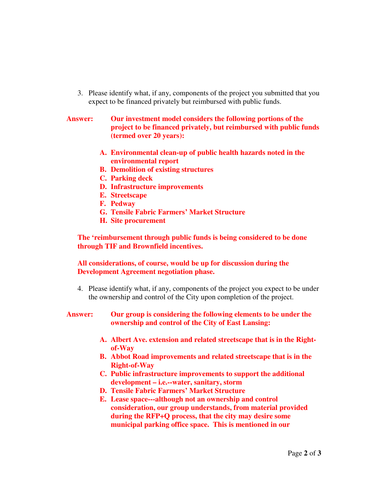3. Please identify what, if any, components of the project you submitted that you expect to be financed privately but reimbursed with public funds.

## **Answer: Our investment model considers the following portions of the project to be financed privately, but reimbursed with public funds (termed over 20 years):**

- **A. Environmental clean-up of public health hazards noted in the environmental report**
- **B. Demolition of existing structures**
- **C. Parking deck**
- **D. Infrastructure improvements**
- **E. Streetscape**
- **F. Pedway**
- **G. Tensile Fabric Farmers' Market Structure**
- **H. Site procurement**

**The 'reimbursement through public funds is being considered to be done through TIF and Brownfield incentives.** 

**All considerations, of course, would be up for discussion during the Development Agreement negotiation phase.** 

- 4. Please identify what, if any, components of the project you expect to be under the ownership and control of the City upon completion of the project.
- **Answer: Our group is considering the following elements to be under the ownership and control of the City of East Lansing:** 
	- **A. Albert Ave. extension and related streetscape that is in the Rightof-Way**
	- **B. Abbot Road improvements and related streetscape that is in the Right-of-Way**
	- **C. Public infrastructure improvements to support the additional development – i.e.--water, sanitary, storm**
	- **D. Tensile Fabric Farmers' Market Structure**
	- **E. Lease space---although not an ownership and control consideration, our group understands, from material provided during the RFP+Q process, that the city may desire some municipal parking office space. This is mentioned in our**